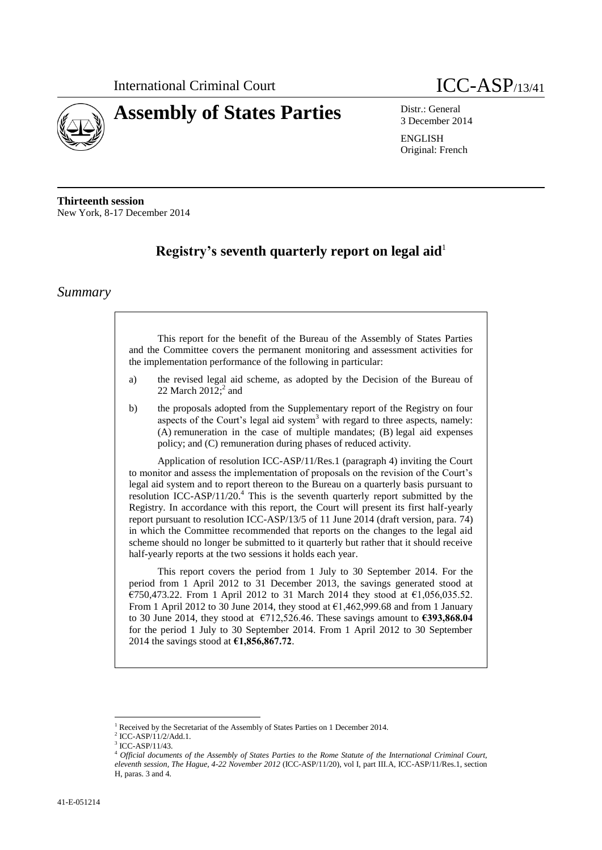

# **Assembly of States Parties** Distr.: General

3 December 2014

ENGLISH Original: French

**Thirteenth session** New York, 8-17 December 2014

# **Registry's seventh quarterly report on legal aid**<sup>1</sup>

### *Summary*

This report for the benefit of the Bureau of the Assembly of States Parties and the Committee covers the permanent monitoring and assessment activities for the implementation performance of the following in particular:

- a) the revised legal aid scheme, as adopted by the Decision of the Bureau of 22 March  $2012$ ;<sup>2</sup> and
- b) the proposals adopted from the Supplementary report of the Registry on four aspects of the Court's legal aid system<sup>3</sup> with regard to three aspects, namely: (A) remuneration in the case of multiple mandates; (B) legal aid expenses policy; and (C) remuneration during phases of reduced activity.

Application of resolution ICC-ASP/11/Res.1 (paragraph 4) inviting the Court to monitor and assess the implementation of proposals on the revision of the Court's legal aid system and to report thereon to the Bureau on a quarterly basis pursuant to resolution ICC-ASP/11/20.<sup>4</sup> This is the seventh quarterly report submitted by the Registry. In accordance with this report, the Court will present its first half-yearly report pursuant to resolution ICC-ASP/13/5 of 11 June 2014 (draft version, para. 74) in which the Committee recommended that reports on the changes to the legal aid scheme should no longer be submitted to it quarterly but rather that it should receive half-yearly reports at the two sessions it holds each year.

This report covers the period from 1 July to 30 September 2014. For the period from 1 April 2012 to 31 December 2013, the savings generated stood at €750,473.22. From 1 April 2012 to 31 March 2014 they stood at €1,056,035.52. From 1 April 2012 to 30 June 2014, they stood at  $\epsilon$ 1,462,999.68 and from 1 January to 30 June 2014, they stood at €712,526.46. These savings amount to **€393,868.04** for the period 1 July to 30 September 2014. From 1 April 2012 to 30 September 2014 the savings stood at **€1,856,867.72**.

<sup>1</sup> Received by the Secretariat of the Assembly of States Parties on 1 December 2014.

<sup>2</sup> ICC-ASP/11/2/Add.1.

<sup>3</sup> ICC-ASP/11/43.

<sup>4</sup> *Official documents of the Assembly of States Parties to the Rome Statute of the International Criminal Court, eleventh session, The Hague, 4-22 November 2012* (ICC-ASP/11/20), vol I, part III.A, ICC-ASP/11/Res.1, section H, paras. 3 and 4.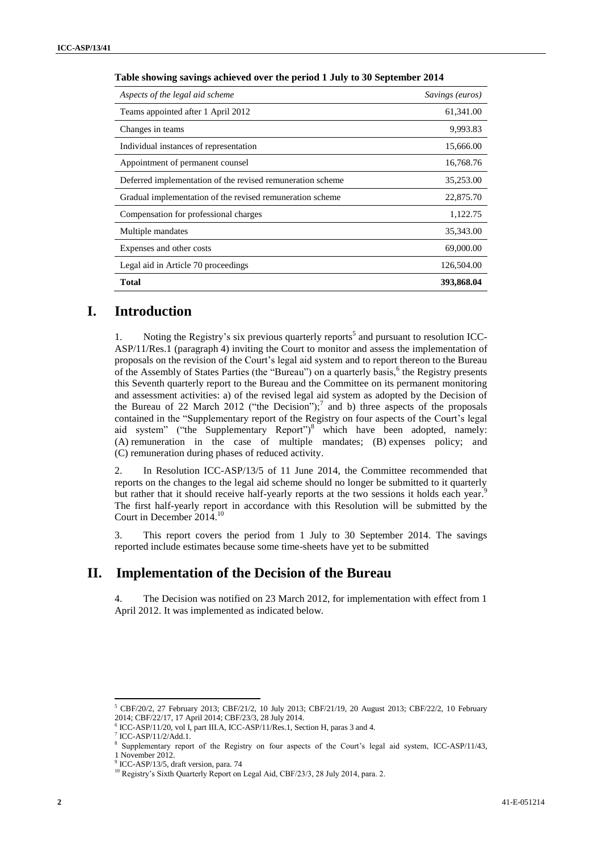| Aspects of the legal aid scheme                            | Savings (euros) |  |  |
|------------------------------------------------------------|-----------------|--|--|
| Teams appointed after 1 April 2012                         | 61,341.00       |  |  |
| Changes in teams                                           | 9,993.83        |  |  |
| Individual instances of representation                     | 15,666.00       |  |  |
| Appointment of permanent counsel                           | 16,768.76       |  |  |
| Deferred implementation of the revised remuneration scheme | 35,253.00       |  |  |
| Gradual implementation of the revised remuneration scheme  | 22,875.70       |  |  |
| Compensation for professional charges                      | 1,122.75        |  |  |
| Multiple mandates                                          | 35,343.00       |  |  |
| Expenses and other costs                                   | 69,000.00       |  |  |
| Legal aid in Article 70 proceedings                        | 126,504.00      |  |  |
| <b>Total</b>                                               | 393,868.04      |  |  |

#### **Table showing savings achieved over the period 1 July to 30 September 2014**

### **I. Introduction**

1. Noting the Registry's six previous quarterly reports<sup>5</sup> and pursuant to resolution ICC-ASP/11/Res.1 (paragraph 4) inviting the Court to monitor and assess the implementation of proposals on the revision of the Court's legal aid system and to report thereon to the Bureau of the Assembly of States Parties (the "Bureau") on a quarterly basis,  $6$  the Registry presents this Seventh quarterly report to the Bureau and the Committee on its permanent monitoring and assessment activities: a) of the revised legal aid system as adopted by the Decision of the Bureau of 22 March 2012 ("the Decision");<sup>7</sup> and b) three aspects of the proposals contained in the "Supplementary report of the Registry on four aspects of the Court's legal aid system" ("the Supplementary Report")<sup>8</sup> which have been adopted, namely: (A) remuneration in the case of multiple mandates; (B) expenses policy; and (C) remuneration during phases of reduced activity.

2. In Resolution ICC-ASP/13/5 of 11 June 2014, the Committee recommended that reports on the changes to the legal aid scheme should no longer be submitted to it quarterly but rather that it should receive half-yearly reports at the two sessions it holds each year.<sup>9</sup> The first half-yearly report in accordance with this Resolution will be submitted by the Court in December 2014.<sup>10</sup>

3. This report covers the period from 1 July to 30 September 2014. The savings reported include estimates because some time-sheets have yet to be submitted

### **II. Implementation of the Decision of the Bureau**

4. The Decision was notified on 23 March 2012, for implementation with effect from 1 April 2012. It was implemented as indicated below.

 $5$  CBF/20/2, 27 February 2013; CBF/21/2, 10 July 2013; CBF/21/19, 20 August 2013; CBF/22/2, 10 February 2014; CBF/22/17, 17 April 2014; CBF/23/3, 28 July 2014.

 $^{6}$  ICC-ASP/11/20, vol I, part III.A, ICC-ASP/11/Res.1, Section H, paras 3 and 4.

ICC-ASP/11/2/Add.1.

<sup>8</sup> Supplementary report of the Registry on four aspects of the Court's legal aid system, ICC-ASP/11/43, 1 November 2012.

<sup>9</sup> ICC-ASP/13/5, draft version, para. 74

<sup>&</sup>lt;sup>10</sup> Registry's Sixth Quarterly Report on Legal Aid, CBF/23/3, 28 July 2014, para. 2.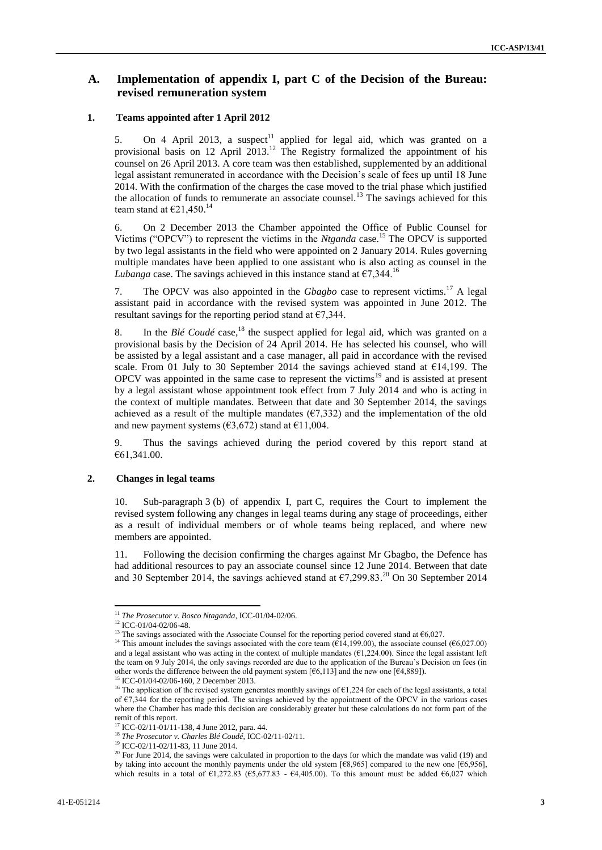### **A. Implementation of appendix I, part C of the Decision of the Bureau: revised remuneration system**

#### **1. Teams appointed after 1 April 2012**

5. On 4 April 2013, a suspect<sup>11</sup> applied for legal aid, which was granted on a provisional basis on 12 April 2013.<sup>12</sup> The Registry formalized the appointment of his counsel on 26 April 2013. A core team was then established, supplemented by an additional legal assistant remunerated in accordance with the Decision's scale of fees up until 18 June 2014. With the confirmation of the charges the case moved to the trial phase which justified the allocation of funds to remunerate an associate counsel.<sup>13</sup> The savings achieved for this team stand at  $\epsilon$ 21,450.<sup>14</sup>

6. On 2 December 2013 the Chamber appointed the Office of Public Counsel for Victims ("OPCV") to represent the victims in the *Ntganda* case.<sup>15</sup> The OPCV is supported by two legal assistants in the field who were appointed on 2 January 2014. Rules governing multiple mandates have been applied to one assistant who is also acting as counsel in the *Lubanga* case. The savings achieved in this instance stand at  $\epsilon$ 7,344.<sup>16</sup>

7. The OPCV was also appointed in the *Gbagbo* case to represent victims.<sup>17</sup> A legal assistant paid in accordance with the revised system was appointed in June 2012. The resultant savings for the reporting period stand at  $\epsilon$ 7,344.

8. In the *Blé Coudé* case,<sup>18</sup> the suspect applied for legal aid, which was granted on a provisional basis by the Decision of 24 April 2014. He has selected his counsel, who will be assisted by a legal assistant and a case manager, all paid in accordance with the revised scale. From 01 July to 30 September 2014 the savings achieved stand at €14,199. The OPCV was appointed in the same case to represent the victims<sup>19</sup> and is assisted at present by a legal assistant whose appointment took effect from 7 July 2014 and who is acting in the context of multiple mandates. Between that date and 30 September 2014, the savings achieved as a result of the multiple mandates  $(67,332)$  and the implementation of the old and new payment systems ( $\epsilon$ 3,672) stand at  $\epsilon$ 11,004.

9. Thus the savings achieved during the period covered by this report stand at €61,341.00.

#### **2. Changes in legal teams**

10. Sub-paragraph 3 (b) of appendix I, part C, requires the Court to implement the revised system following any changes in legal teams during any stage of proceedings, either as a result of individual members or of whole teams being replaced, and where new members are appointed.

11. Following the decision confirming the charges against Mr Gbagbo, the Defence has had additional resources to pay an associate counsel since 12 June 2014. Between that date and 30 September 2014, the savings achieved stand at  $\epsilon$ 7,299.83.<sup>20</sup> On 30 September 2014

 $\overline{a}$ <sup>11</sup> *The Prosecutor v. Bosco Ntaganda*, ICC-01/04-02/06.

<sup>12</sup> ICC-01/04-02/06-48.

<sup>&</sup>lt;sup>13</sup> The savings associated with the Associate Counsel for the reporting period covered stand at  $\epsilon$ 6,027.

<sup>&</sup>lt;sup>14</sup> This amount includes the savings associated with the core team ( $\widetilde{E14}$ , 199.00), the associate counsel ( $\widetilde{E6}$ , 027.00) and a legal assistant who was acting in the context of multiple mandates ( $\epsilon$ 1,224.00). Since the legal assistant left the team on 9 July 2014, the only savings recorded are due to the application of the Bureau's Decision on fees (in other words the difference between the old payment system [ $6,113$ ] and the new one [ $64,889$ ]).

<sup>15</sup> ICC-01/04-02/06-160, 2 December 2013.

<sup>&</sup>lt;sup>16</sup> The application of the revised system generates monthly savings of  $\epsilon$ 1,224 for each of the legal assistants, a total of €7,344 for the reporting period. The savings achieved by the appointment of the OPCV in the various cases where the Chamber has made this decision are considerably greater but these calculations do not form part of the remit of this report.

<sup>17</sup> ICC-02/11-01/11-138, 4 June 2012, para. 44.

<sup>18</sup> *The Prosecutor v. Charles Blé Coudé*, ICC-02/11-02/11.

<sup>&</sup>lt;sup>19</sup> ICC-02/11-02/11-83, 11 June 2014.

 $20$  For June 2014, the savings were calculated in proportion to the days for which the mandate was valid (19) and by taking into account the monthly payments under the old system [€8,965] compared to the new one [€6,956], which results in a total of  $\epsilon$ 1,272.83 ( $\epsilon$ 5,677.83 -  $\epsilon$ 4,405.00). To this amount must be added  $\epsilon$ 6,027 which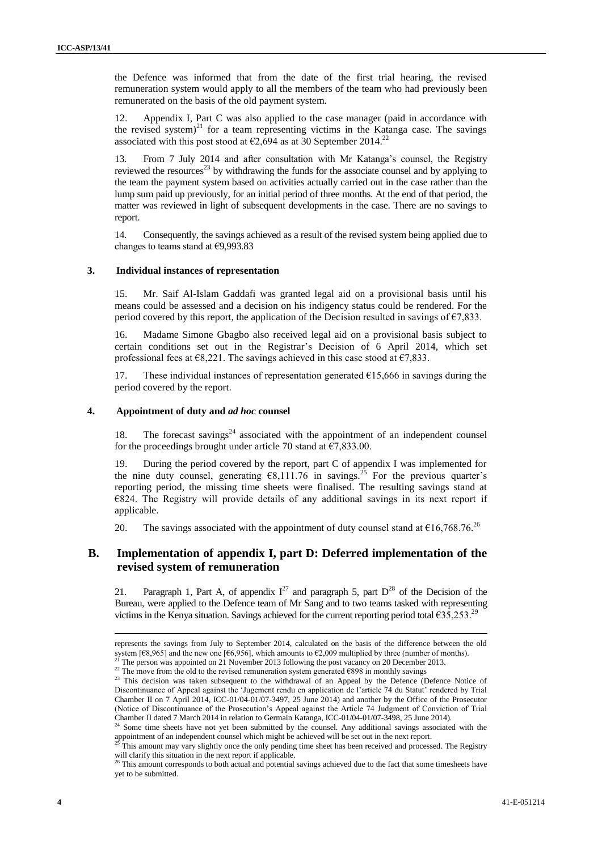the Defence was informed that from the date of the first trial hearing, the revised remuneration system would apply to all the members of the team who had previously been remunerated on the basis of the old payment system.

12. Appendix I, Part C was also applied to the case manager (paid in accordance with the revised system)<sup>21</sup> for a team representing victims in the Katanga case. The savings associated with this post stood at  $\epsilon$ 2,694 as at 30 September 2014.<sup>22</sup>

13. From 7 July 2014 and after consultation with Mr Katanga's counsel, the Registry reviewed the resources<sup>23</sup> by withdrawing the funds for the associate counsel and by applying to the team the payment system based on activities actually carried out in the case rather than the lump sum paid up previously, for an initial period of three months. At the end of that period, the matter was reviewed in light of subsequent developments in the case. There are no savings to report.

14. Consequently, the savings achieved as a result of the revised system being applied due to changes to teams stand at €9,993.83

#### **3. Individual instances of representation**

15. Mr. Saif Al-Islam Gaddafi was granted legal aid on a provisional basis until his means could be assessed and a decision on his indigency status could be rendered. For the period covered by this report, the application of the Decision resulted in savings of  $\epsilon$ 7.833.

16. Madame Simone Gbagbo also received legal aid on a provisional basis subject to certain conditions set out in the Registrar's Decision of 6 April 2014, which set professional fees at  $\epsilon$ 8,221. The savings achieved in this case stood at  $\epsilon$ 7,833.

17. These individual instances of representation generated  $\epsilon$ 15,666 in savings during the period covered by the report.

#### **4. Appointment of duty and** *ad hoc* **counsel**

18. The forecast savings $24$  associated with the appointment of an independent counsel for the proceedings brought under article 70 stand at  $\epsilon$ 7,833.00.

19. During the period covered by the report, part C of appendix I was implemented for the nine duty counsel, generating  $\epsilon$ 8,111.76 in savings.<sup>25</sup> For the previous quarter's reporting period, the missing time sheets were finalised. The resulting savings stand at €824. The Registry will provide details of any additional savings in its next report if applicable.

20. The savings associated with the appointment of duty counsel stand at  $\epsilon$ 16,768.76.<sup>26</sup>

### **B. Implementation of appendix I, part D: Deferred implementation of the revised system of remuneration**

21. Paragraph 1, Part A, of appendix  $I^{27}$  and paragraph 5, part  $D^{28}$  of the Decision of the Bureau, were applied to the Defence team of Mr Sang and to two teams tasked with representing victims in the Kenya situation. Savings achieved for the current reporting period total  $\epsilon$ 35,253.<sup>29</sup>

 $\overline{a}$ 

represents the savings from July to September 2014, calculated on the basis of the difference between the old system [ $\epsilon$ 8,965] and the new one [ $\epsilon$ 6,956], which amounts to  $\epsilon$ 2,009 multiplied by three (number of months).

<sup>21</sup> The person was appointed on 21 November 2013 following the post vacancy on 20 December 2013.

<sup>&</sup>lt;sup>22</sup> The move from the old to the revised remuneration system generated  $\epsilon$ 898 in monthly savings

<sup>&</sup>lt;sup>23</sup> This decision was taken subsequent to the withdrawal of an Appeal by the Defence (Defence Notice of Discontinuance of Appeal against the 'Jugement rendu en application de l'article 74 du Statut' rendered by Trial Chamber II on 7 April 2014, ICC-01/04-01/07-3497, 25 June 2014) and another by the Office of the Prosecutor (Notice of Discontinuance of the Prosecution's Appeal against the Article 74 Judgment of Conviction of Trial Chamber II dated 7 March 2014 in relation to Germain Katanga, ICC-01/04-01/07-3498, 25 June 2014).

Some time sheets have not yet been submitted by the counsel. Any additional savings associated with the appointment of an independent counsel which might be achieved will be set out in the next report.

This amount may vary slightly once the only pending time sheet has been received and processed. The Registry will clarify this situation in the next report if applicable.

<sup>&</sup>lt;sup>26</sup> This amount corresponds to both actual and potential savings achieved due to the fact that some timesheets have yet to be submitted.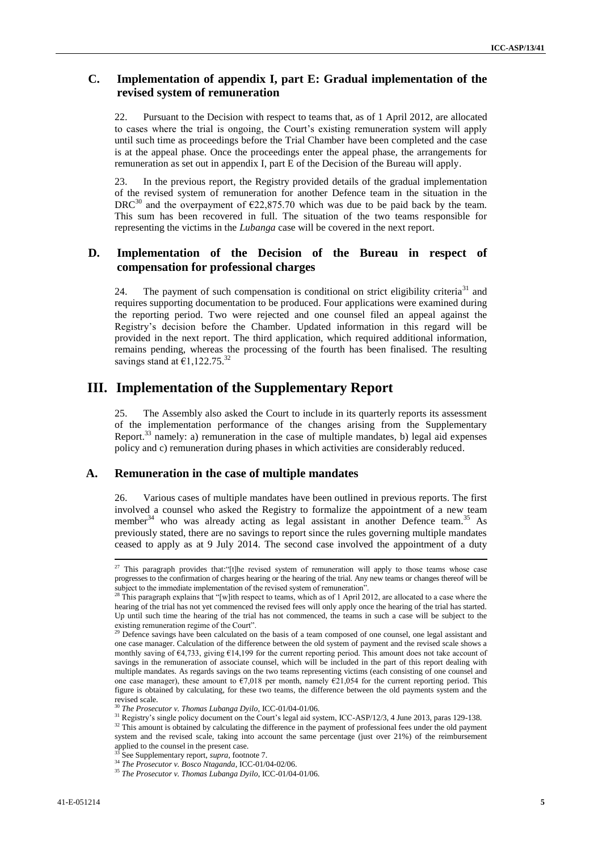### **C. Implementation of appendix I, part E: Gradual implementation of the revised system of remuneration**

22. Pursuant to the Decision with respect to teams that, as of 1 April 2012, are allocated to cases where the trial is ongoing, the Court's existing remuneration system will apply until such time as proceedings before the Trial Chamber have been completed and the case is at the appeal phase. Once the proceedings enter the appeal phase, the arrangements for remuneration as set out in appendix I, part E of the Decision of the Bureau will apply.

23. In the previous report, the Registry provided details of the gradual implementation of the revised system of remuneration for another Defence team in the situation in the DRC<sup>30</sup> and the overpayment of  $\epsilon$ 22,875.70 which was due to be paid back by the team. This sum has been recovered in full. The situation of the two teams responsible for representing the victims in the *Lubanga* case will be covered in the next report.

### **D. Implementation of the Decision of the Bureau in respect of compensation for professional charges**

24. The payment of such compensation is conditional on strict eligibility criteria<sup>31</sup> and requires supporting documentation to be produced. Four applications were examined during the reporting period. Two were rejected and one counsel filed an appeal against the Registry's decision before the Chamber. Updated information in this regard will be provided in the next report. The third application, which required additional information, remains pending, whereas the processing of the fourth has been finalised. The resulting savings stand at  $\epsilon$ 1,122.75.<sup>32</sup>

### **III. Implementation of the Supplementary Report**

25. The Assembly also asked the Court to include in its quarterly reports its assessment of the implementation performance of the changes arising from the Supplementary Report.<sup>33</sup> namely: a) remuneration in the case of multiple mandates, b) legal aid expenses policy and c) remuneration during phases in which activities are considerably reduced.

### **A. Remuneration in the case of multiple mandates**

26. Various cases of multiple mandates have been outlined in previous reports. The first involved a counsel who asked the Registry to formalize the appointment of a new team member<sup>34</sup> who was already acting as legal assistant in another Defence team.<sup>35</sup> As previously stated, there are no savings to report since the rules governing multiple mandates ceased to apply as at 9 July 2014. The second case involved the appointment of a duty

<sup>&</sup>lt;sup>27</sup> This paragraph provides that: "[t]he revised system of remuneration will apply to those teams whose case progresses to the confirmation of charges hearing or the hearing of the trial. Any new teams or changes thereof will be subject to the immediate implementation of the revised system of remuneration".

<sup>&</sup>lt;sup>28</sup> This paragraph explains that "[w]ith respect to teams, which as of 1 April 2012, are allocated to a case where the hearing of the trial has not yet commenced the revised fees will only apply once the hearing of the trial has started. Up until such time the hearing of the trial has not commenced, the teams in such a case will be subject to the existing remuneration regime of the Court".

 $2<sup>29</sup>$  Defence savings have been calculated on the basis of a team composed of one counsel, one legal assistant and one case manager. Calculation of the difference between the old system of payment and the revised scale shows a monthly saving of  $\epsilon$ 4,733, giving  $\epsilon$ 14,199 for the current reporting period. This amount does not take account of savings in the remuneration of associate counsel, which will be included in the part of this report dealing with multiple mandates. As regards savings on the two teams representing victims (each consisting of one counsel and one case manager), these amount to  $\epsilon$ 7,018 per month, namely  $\epsilon$ 21,054 for the current reporting period. This figure is obtained by calculating, for these two teams, the difference between the old payments system and the revised scale.

<sup>30</sup> *The Prosecutor v. Thomas Lubanga Dyilo,* ICC-01/04-01/06.

<sup>&</sup>lt;sup>31</sup> Registry's single policy document on the Court's legal aid system, ICC-ASP/12/3, 4 June 2013, paras 129-138.

<sup>&</sup>lt;sup>32</sup> This amount is obtained by calculating the difference in the payment of professional fees under the old payment system and the revised scale, taking into account the same percentage (just over 21%) of the reimbursement applied to the counsel in the present case.

See Supplementary report, *supra*, footnote 7.

<sup>34</sup> *The Prosecutor v. Bosco Ntaganda*, ICC-01/04-02/06.

<sup>35</sup> *The Prosecutor v. Thomas Lubanga Dyilo*, ICC-01/04-01/06.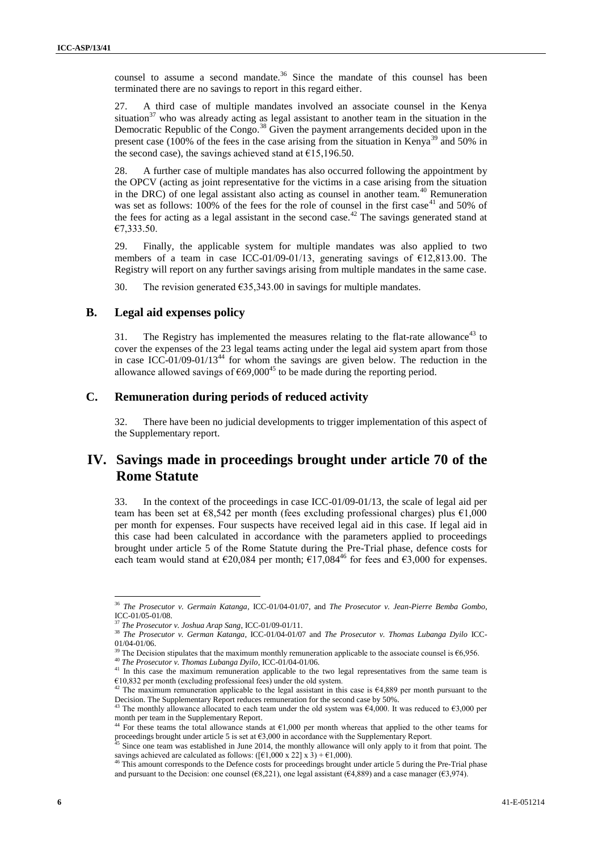counsel to assume a second mandate.<sup>36</sup> Since the mandate of this counsel has been terminated there are no savings to report in this regard either.

27. A third case of multiple mandates involved an associate counsel in the Kenya situation<sup>37</sup> who was already acting as legal assistant to another team in the situation in the Democratic Republic of the Congo.<sup>38</sup> Given the payment arrangements decided upon in the present case (100% of the fees in the case arising from the situation in Kenya<sup>39</sup> and 50% in the second case), the savings achieved stand at  $£15,196.50$ .

28. A further case of multiple mandates has also occurred following the appointment by the OPCV (acting as joint representative for the victims in a case arising from the situation in the DRC) of one legal assistant also acting as counsel in another team.<sup>40</sup> Remuneration was set as follows:  $100\%$  of the fees for the role of counsel in the first case<sup>41</sup> and 50% of the fees for acting as a legal assistant in the second case.<sup>42</sup> The savings generated stand at €7,333.50.

29. Finally, the applicable system for multiple mandates was also applied to two members of a team in case ICC-01/09-01/13, generating savings of €12,813.00. The Registry will report on any further savings arising from multiple mandates in the same case.

30. The revision generated  $\epsilon$ 35,343.00 in savings for multiple mandates.

#### **B. Legal aid expenses policy**

31. The Registry has implemented the measures relating to the flat-rate allowance<sup>43</sup> to cover the expenses of the 23 legal teams acting under the legal aid system apart from those in case ICC-01/09-01/13<sup>44</sup> for whom the savings are given below. The reduction in the allowance allowed savings of  $\epsilon$ 69,000<sup>45</sup> to be made during the reporting period.

### **C. Remuneration during periods of reduced activity**

There have been no judicial developments to trigger implementation of this aspect of the Supplementary report.

## **IV. Savings made in proceedings brought under article 70 of the Rome Statute**

33. In the context of the proceedings in case ICC-01/09-01/13, the scale of legal aid per team has been set at  $\epsilon$ 8,542 per month (fees excluding professional charges) plus  $\epsilon$ 1,000 per month for expenses. Four suspects have received legal aid in this case. If legal aid in this case had been calculated in accordance with the parameters applied to proceedings brought under article 5 of the Rome Statute during the Pre-Trial phase, defence costs for each team would stand at  $\epsilon$ 20,084 per month;  $\epsilon$ 17,084<sup>46</sup> for fees and  $\epsilon$ 3,000 for expenses.

<sup>36</sup> *The Prosecutor v. Germain Katanga*, ICC-01/04-01/07, and *The Prosecutor v. Jean-Pierre Bemba Gombo*, ICC-01/05-01/08.

<sup>37</sup> *The Prosecutor v. Joshua Arap Sang*, ICC-01/09-01/11.

<sup>38</sup> *The Prosecutor v. German Katanga*, ICC-01/04-01/07 and *The Prosecutor v. Thomas Lubanga Dyilo* ICC-01/04-01/06.

The Decision stipulates that the maximum monthly remuneration applicable to the associate counsel is  $\epsilon$ 6,956.

<sup>40</sup> *The Prosecutor v. Thomas Lubanga Dyilo*, ICC-01/04-01/06.

<sup>&</sup>lt;sup>41</sup> In this case the maximum remuneration applicable to the two legal representatives from the same team is  $€10,832$  per month (excluding professional fees) under the old system.

<sup>&</sup>lt;sup>42</sup> The maximum remuneration applicable to the legal assistant in this case is  $\epsilon$ 4,889 per month pursuant to the Decision. The Supplementary Report reduces remuneration for the second case by 50%.

The monthly allowance allocated to each team under the old system was  $\epsilon$ 4,000. It was reduced to  $\epsilon$ 3,000 per month per team in the Supplementary Report.

For these teams the total allowance stands at  $\epsilon$ 1,000 per month whereas that applied to the other teams for proceedings brought under article 5 is set at  $63,000$  in accordance with the Supplementary Report.

 $45$  Since one team was established in June 2014, the monthly allowance will only apply to it from that point. The savings achieved are calculated as follows: ( $[\text{€}1,000 \times 22] \times 3$ ) +  $\text{€}1,000$ ).<br><sup>46</sup> This amount corresponds to the Defence costs for proceedings brought.

This amount corresponds to the Defence costs for proceedings brought under article 5 during the Pre-Trial phase and pursuant to the Decision: one counsel ( $\epsilon$ 8,221), one legal assistant ( $\epsilon$ 4,889) and a case manager ( $\epsilon$ 3,974).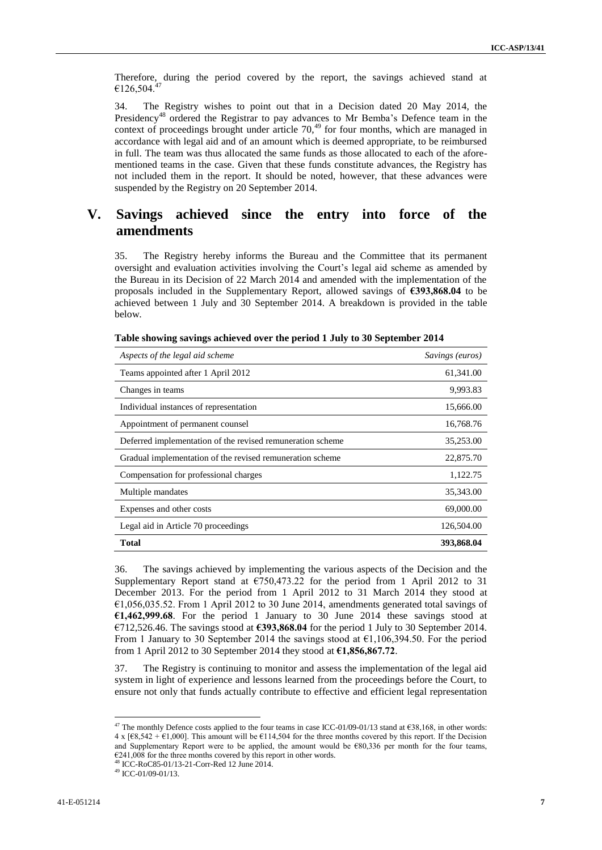Therefore, during the period covered by the report, the savings achieved stand at  $€126,504.<sup>47</sup>$ 

34. The Registry wishes to point out that in a Decision dated 20 May 2014, the Presidency<sup>48</sup> ordered the Registrar to pay advances to Mr Bemba's Defence team in the context of proceedings brought under article 70,<sup>49</sup> for four months, which are managed in accordance with legal aid and of an amount which is deemed appropriate, to be reimbursed in full. The team was thus allocated the same funds as those allocated to each of the aforementioned teams in the case. Given that these funds constitute advances, the Registry has not included them in the report. It should be noted, however, that these advances were suspended by the Registry on 20 September 2014.

# **V. Savings achieved since the entry into force of the amendments**

35. The Registry hereby informs the Bureau and the Committee that its permanent oversight and evaluation activities involving the Court's legal aid scheme as amended by the Bureau in its Decision of 22 March 2014 and amended with the implementation of the proposals included in the Supplementary Report, allowed savings of **€393,868.04** to be achieved between 1 July and 30 September 2014. A breakdown is provided in the table below.

| Aspects of the legal aid scheme                            | Savings (euros) |  |  |
|------------------------------------------------------------|-----------------|--|--|
| Teams appointed after 1 April 2012                         | 61,341.00       |  |  |
| Changes in teams                                           | 9,993.83        |  |  |
| Individual instances of representation                     | 15,666.00       |  |  |
| Appointment of permanent counsel                           | 16,768.76       |  |  |
| Deferred implementation of the revised remuneration scheme | 35,253.00       |  |  |
| Gradual implementation of the revised remuneration scheme  | 22,875.70       |  |  |
| Compensation for professional charges                      | 1,122.75        |  |  |
| Multiple mandates                                          | 35,343.00       |  |  |
| Expenses and other costs                                   | 69,000.00       |  |  |
| Legal aid in Article 70 proceedings                        | 126,504.00      |  |  |
| Total                                                      | 393,868.04      |  |  |

|  | Table showing savings achieved over the period 1 July to 30 September 2014 |  |  |  |  |  |  |  |
|--|----------------------------------------------------------------------------|--|--|--|--|--|--|--|
|--|----------------------------------------------------------------------------|--|--|--|--|--|--|--|

36. The savings achieved by implementing the various aspects of the Decision and the Supplementary Report stand at  $\epsilon$ 750,473.22 for the period from 1 April 2012 to 31 December 2013. For the period from 1 April 2012 to 31 March 2014 they stood at  $€1,056,035.52$ . From 1 April 2012 to 30 June 2014, amendments generated total savings of **€1,462,999.68**. For the period 1 January to 30 June 2014 these savings stood at €712,526.46. The savings stood at **€393,868.04** for the period 1 July to 30 September 2014. From 1 January to 30 September 2014 the savings stood at  $\epsilon$ 1,106,394.50. For the period from 1 April 2012 to 30 September 2014 they stood at **€1,856,867.72**.

37. The Registry is continuing to monitor and assess the implementation of the legal aid system in light of experience and lessons learned from the proceedings before the Court, to ensure not only that funds actually contribute to effective and efficient legal representation

<sup>&</sup>lt;sup>47</sup> The monthly Defence costs applied to the four teams in case ICC-01/09-01/13 stand at  $638,168$ , in other words:  $4 \times$  [ $\epsilon$ 8,542 +  $\epsilon$ 1,000]. This amount will be  $\epsilon$ 114,504 for the three months covered by this report. If the Decision and Supplementary Report were to be applied, the amount would be  $\epsilon$ 80,336 per month for the four teams,  $E241,008$  for the three months covered by this report in other words.

<sup>48</sup> ICC-RoC85-01/13-21-Corr-Red 12 June 2014.

<sup>49</sup> ICC-01/09-01/13.